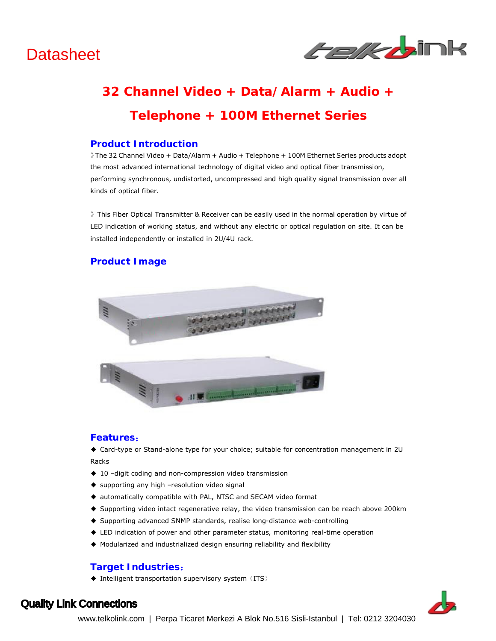

# **32 Channel Video + Data/Alarm + Audio + Telephone + 100M Ethernet Series**

### **Product Introduction**

》The 32 Channel Video + Data/Alarm + Audio + Telephone + 100M Ethernet Series products adopt the most advanced international technology of digital video and optical fiber transmission, performing synchronous, undistorted, uncompressed and high quality signal transmission over all kinds of optical fiber.

》This Fiber Optical Transmitter & Receiver can be easily used in the normal operation by virtue of LED indication of working status, and without any electric or optical regulation on site. It can be installed independently or installed in 2U/4U rack.

## **Product Image**



#### **Features:**

◆ Card-type or Stand-alone type for your choice; suitable for concentration management in 2U Racks

- ◆ 10 -digit coding and non-compression video transmission
- ◆ supporting any high -resolution video signal
- ◆ automatically compatible with PAL, NTSC and SECAM video format
- ◆ Supporting video intact regenerative relay, the video transmission can be reach above 200km
- ◆ Supporting advanced SNMP standards, realise long-distance web-controlling
- ◆ LED indication of power and other parameter status, monitoring real-time operation
- ◆ Modularized and industrialized design ensuring reliability and flexibility

## **Target Industries:**

 $\blacklozenge$  Intelligent transportation supervisory system (ITS)



## Quality Link Connections

www.telkolink.com | Perpa Ticaret Merkezi A Blok No.516 Sisli-Istanbul | Tel: 0212 3204030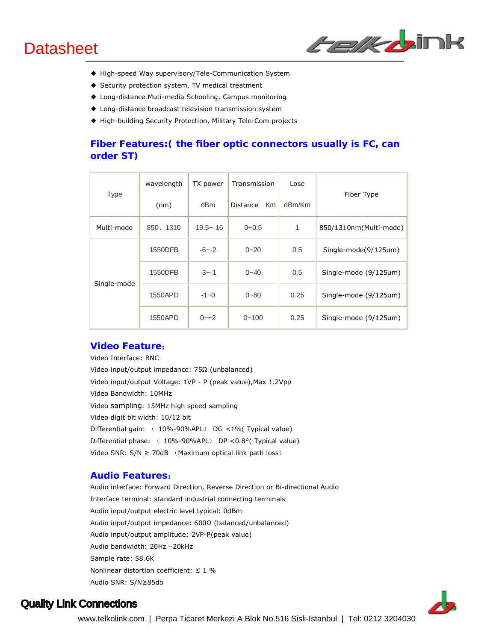

- ◆ High-speed Way supervisory/Tele-Communication System
- ◆ Security protection system, TV medical treatment
- ◆ Long-distance Muti-media Schooling, Campus monitoring
- ◆ Long-distance broadcast television transmission system
- ◆ High-building Security Protection, Military Tele-Com projects

## **Fiber Features:( the fiber optic connectors usually is FC, can order ST)**

| <b>Type</b> | wavelength | TX power        | Transmission          | Lose   | Fiber Type             |
|-------------|------------|-----------------|-----------------------|--------|------------------------|
|             | (nm)       | dB <sub>m</sub> | <b>Km</b><br>Distance | dBm/Km |                        |
| Multi-mode  | 850、1310   | $-19.5 - -16$   | $0 - 0.5$             | 1      | 850/1310nm(Multi-mode) |
| Single-mode | 1550DFB    | $-6 - -2$       | $0 - 20$              | 0.5    | Single-mode(9/125um)   |
|             | 1550DFB    | $-3 - -1$       | $0 - 40$              | 0.5    | Single-mode (9/125um)  |
|             | 1550APD    | $-1 - 0$        | $0 - 60$              | 0.25   | Single-mode (9/125um)  |
|             | 1550APD    | $0 - 12$        | $0 - 100$             | 0.25   | Single-mode (9/125um)  |

#### **Video Feature:**

Video Interface: BNC Video input/output impedance: 75Ω (unbalanced) Video input/output Voltage: 1VP - P (peak value),Max 1.2Vpp Video Bandwidth: 10MHz Video sampling: 15MHz high speed sampling Video digit bit width: 10/12 bit Differential gain: ( 10%-90%APL) DG <1%( Typical value) Differential phase: ( 10%-90%APL) DP <0.8°( Typical value) Video SNR:  $S/N \geq 70$ dB (Maximum optical link path loss)

### **Audio Features:**

Audio interface: Forward Direction, Reverse Direction or Bi-directional Audio Interface terminal: standard industrial connecting terminals Audio input/output electric level typical: 0dBm Audio input/output impedance: 600Ω (balanced/unbalanced) Audio input/output amplitude: 2VP-P(peak value) Audio bandwidth: 20Hz~20kHz Sample rate: 58.6K Nonlinear distortion coefficient:  $\leq 1$  % Audio SNR: S/N≥85db



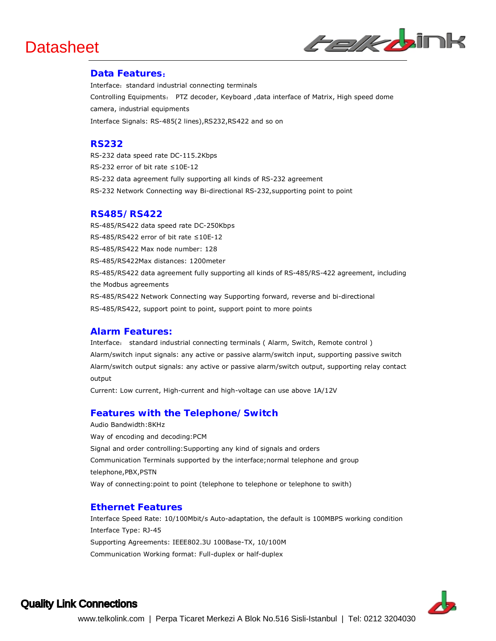

### **Data Features:**

Interface: standard industrial connecting terminals Controlling Equipments: PTZ decoder, Keyboard ,data interface of Matrix, High speed dome camera, industrial equipments Interface Signals: RS-485(2 lines),RS232,RS422 and so on

### **RS232**

RS-232 data speed rate DC-115.2Kbps RS-232 error of bit rate ≤10E-12 RS-232 data agreement fully supporting all kinds of RS-232 agreement RS-232 Network Connecting way Bi-directional RS-232,supporting point to point

### **RS485/RS422**

RS-485/RS422 data speed rate DC-250Kbps RS-485/RS422 error of bit rate ≤10E-12 RS-485/RS422 Max node number: 128 RS-485/RS422Max distances: 1200meter RS-485/RS422 data agreement fully supporting all kinds of RS-485/RS-422 agreement, including the Modbus agreements RS-485/RS422 Network Connecting way Supporting forward, reverse and bi-directional RS-485/RS422, support point to point, support point to more points

### **Alarm Features:**

Interface: standard industrial connecting terminals ( Alarm, Switch, Remote control ) Alarm/switch input signals: any active or passive alarm/switch input, supporting passive switch Alarm/switch output signals: any active or passive alarm/switch output, supporting relay contact output

Current: Low current, High-current and high-voltage can use above 1A/12V

### **Features with the Telephone/Switch**

Audio Bandwidth:8KHz Way of encoding and decoding:PCM Signal and order controlling:Supporting any kind of signals and orders Communication Terminals supported by the interface;normal telephone and group telephone,PBX,PSTN Way of connecting:point to point (telephone to telephone or telephone to swith)

#### **Ethernet Features**

Interface Speed Rate: 10/100Mbit/s Auto-adaptation, the default is 100MBPS working condition Interface Type: RJ-45 Supporting Agreements: IEEE802.3U 100Base-TX, 10/100M Communication Working format: Full-duplex or half-duplex



## Quality Link Connections